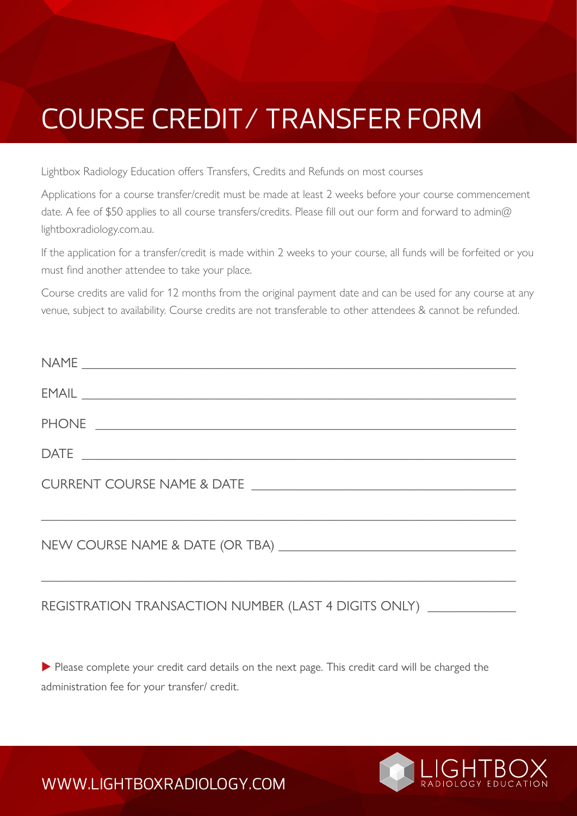## COURSE CREDIT/ TRANSFER FORM

Lightbox Radiology Education offers Transfers, Credits and Refunds on most courses

Applications for a course transfer/credit must be made at least 2 weeks before your course commencement date. A fee of \$50 applies to all course transfers/credits. Please fill out our form and forward to admin@ lightboxradiology.com.au.

If the application for a transfer/credit is made within 2 weeks to your course, all funds will be forfeited or you must find another attendee to take your place.

Course credits are valid for 12 months from the original payment date and can be used for any course at any venue, subject to availability. Course credits are not transferable to other attendees & cannot be refunded.

| $\begin{tabular}{c} \bf{NAME} \end{tabular}$                                                                                                                                                                                                                                                                                                                                                                                                                                             |
|------------------------------------------------------------------------------------------------------------------------------------------------------------------------------------------------------------------------------------------------------------------------------------------------------------------------------------------------------------------------------------------------------------------------------------------------------------------------------------------|
| $EMAIL \begin{tabular}{l} \hline \multicolumn{2}{c}{} & \multicolumn{2}{c}{} & \multicolumn{2}{c}{} \\ \multicolumn{2}{c}{} & \multicolumn{2}{c}{} & \multicolumn{2}{c}{} \\ \multicolumn{2}{c}{} & \multicolumn{2}{c}{} & \multicolumn{2}{c}{} \\ \multicolumn{2}{c}{} & \multicolumn{2}{c}{} & \multicolumn{2}{c}{} \\ \multicolumn{2}{c}{} & \multicolumn{2}{c}{} & \multicolumn{2}{c}{} \\ \multicolumn{2}{c}{} & \multicolumn{2}{c}{} & \multicolumn{2}{c}{} \\ \multicolumn{2}{c}$ |
|                                                                                                                                                                                                                                                                                                                                                                                                                                                                                          |
|                                                                                                                                                                                                                                                                                                                                                                                                                                                                                          |
| <u> 1989 - Jan James James James James James James James James James James James James James James James James J</u>                                                                                                                                                                                                                                                                                                                                                                     |
|                                                                                                                                                                                                                                                                                                                                                                                                                                                                                          |

## REGISTRATION TRANSACTION NUMBER (LAST 4 DIGITS ONLY)

Please complete your credit card details on the next page. This credit card will be charged the administration fee for your transfer/ credit.



WWW.LIGHTBOXRADIOLOGY.COM